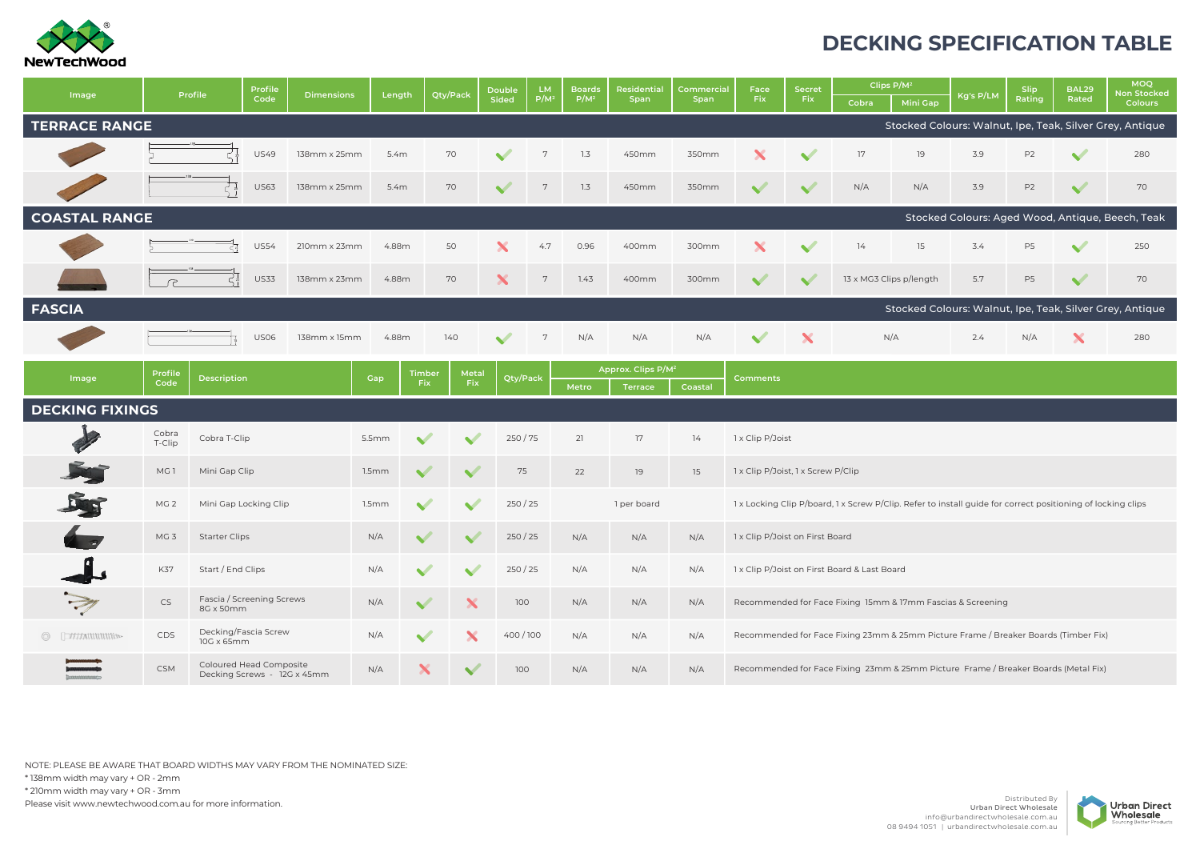

## **DECKING SPECIFICATION TABLE**

| Image                                                                            | Profile         |                                        | Profile                                                | <b>Dimensions</b> | Length |             | Qty/Pack | <b>Double</b><br>Sided | <b>LM</b>                                                                               | <b>Boards</b> | Residential<br>Span            | Commercial<br>Span | Face<br><b>Fix</b>                                                                                          | <b>Secret</b>   |       | Clips P/M <sup>2</sup>  |           | Slip           | BAL29        | <b>MOQ</b><br><b>Ion Stocked</b>                 |  |  |
|----------------------------------------------------------------------------------|-----------------|----------------------------------------|--------------------------------------------------------|-------------------|--------|-------------|----------|------------------------|-----------------------------------------------------------------------------------------|---------------|--------------------------------|--------------------|-------------------------------------------------------------------------------------------------------------|-----------------|-------|-------------------------|-----------|----------------|--------------|--------------------------------------------------|--|--|
|                                                                                  |                 |                                        | Code                                                   |                   |        |             |          |                        | $P/M^2$                                                                                 | $P/M^2$       |                                |                    |                                                                                                             | Fix             | Cobra | <b>Mini Gap</b>         | Kg's P/LM | Rating         | Rated        | <b>Colours</b>                                   |  |  |
| <b>TERRACE RANGE</b><br>Stocked Colours: Walnut, Ipe, Teak, Silver Grey, Antique |                 |                                        |                                                        |                   |        |             |          |                        |                                                                                         |               |                                |                    |                                                                                                             |                 |       |                         |           |                |              |                                                  |  |  |
|                                                                                  |                 |                                        | <b>US49</b>                                            | 138mm x 25mm      | 5.4m   |             | 70       |                        | $7\overline{ }$                                                                         | 1.3           | 450mm                          | 350mm              |                                                                                                             |                 | 17    | 19                      | 3.9       | P <sub>2</sub> |              | 280                                              |  |  |
|                                                                                  |                 |                                        | <b>US63</b>                                            | 138mm x 25mm      | 5.4m   |             | 70       |                        | 7                                                                                       | 1.3           | 450mm                          | 350mm              |                                                                                                             |                 | N/A   | N/A                     | 3.9       | P <sub>2</sub> | $\checkmark$ | 70                                               |  |  |
| <b>COASTAL RANGE</b>                                                             |                 |                                        |                                                        |                   |        |             |          |                        |                                                                                         |               |                                |                    |                                                                                                             |                 |       |                         |           |                |              | Stocked Colours: Aged Wood, Antique, Beech, Teak |  |  |
|                                                                                  |                 | <b>US54</b><br>210mm x 23mm            |                                                        |                   |        | 4.88m<br>50 |          |                        | 4.7                                                                                     | 0.96          | 400mm                          | 300mm              |                                                                                                             |                 | 14    | 15                      | 3.4       | P <sub>5</sub> | $\checkmark$ | 250                                              |  |  |
|                                                                                  |                 | <b>US33</b><br>138mm x 23mm            |                                                        |                   |        | 4.88m<br>70 |          | X                      | 7                                                                                       | 1.43          | 400mm                          | 300mm              |                                                                                                             |                 |       | 13 x MG3 Clips p/length | 5.7       | P <sub>5</sub> | $\checkmark$ | 70                                               |  |  |
| <b>FASCIA</b><br>Stocked Colours: Walnut, Ipe, Teak, Silver Grey, Antique        |                 |                                        |                                                        |                   |        |             |          |                        |                                                                                         |               |                                |                    |                                                                                                             |                 |       |                         |           |                |              |                                                  |  |  |
|                                                                                  |                 |                                        | <b>US06</b>                                            | 138mm x 15mm      | 4.88m  |             | 140      |                        | 7                                                                                       | N/A           | N/A                            | N/A                |                                                                                                             | X               |       | N/A                     | 2.4       | N/A            |              | 280                                              |  |  |
|                                                                                  | Profile         |                                        |                                                        |                   |        | Timber      |          | Metal                  |                                                                                         |               | Approx. Clips P/M <sup>2</sup> |                    |                                                                                                             |                 |       |                         |           |                |              |                                                  |  |  |
| Image                                                                            | Code            | <b>Description</b>                     |                                                        |                   | Gap    | <b>Fix</b>  | Fix      |                        | Qty/Pack<br>Metro                                                                       |               | <b>Terrace</b>                 | Coastal            |                                                                                                             | <b>Comments</b> |       |                         |           |                |              |                                                  |  |  |
| <b>DECKING FIXINGS</b>                                                           |                 |                                        |                                                        |                   |        |             |          |                        |                                                                                         |               |                                |                    |                                                                                                             |                 |       |                         |           |                |              |                                                  |  |  |
|                                                                                  | Cobra<br>T-Clip | Cobra T-Clip                           |                                                        |                   | 5.5mm  |             |          | 250/75                 |                                                                                         | 21            | 17                             | 14                 | 1 x Clip P/Joist                                                                                            |                 |       |                         |           |                |              |                                                  |  |  |
|                                                                                  | MG1             | Mini Gap Clip                          |                                                        |                   | 1.5mm  |             |          | 75                     |                                                                                         | 22            | 19                             | 15                 | 1 x Clip P/Joist, 1 x Screw P/Clip                                                                          |                 |       |                         |           |                |              |                                                  |  |  |
|                                                                                  | MG <sub>2</sub> | Mini Gap Locking Clip                  |                                                        |                   | 1.5mm  |             |          | 250/25                 |                                                                                         |               | 1 per board                    |                    | 1 x Locking Clip P/board, 1 x Screw P/Clip. Refer to install guide for correct positioning of locking clips |                 |       |                         |           |                |              |                                                  |  |  |
|                                                                                  | MG <sub>3</sub> | <b>Starter Clips</b>                   |                                                        |                   | N/A    |             |          | 250/25                 |                                                                                         | N/A           | N/A                            | N/A                | 1 x Clip P/Joist on First Board                                                                             |                 |       |                         |           |                |              |                                                  |  |  |
|                                                                                  | K37             | Start / End Clips                      |                                                        |                   | N/A    |             |          | 250/25                 |                                                                                         | N/A           | N/A                            | N/A                | 1 x Clip P/Joist on First Board & Last Board                                                                |                 |       |                         |           |                |              |                                                  |  |  |
|                                                                                  | <b>CS</b>       | Fascia / Screening Screws<br>8G x 50mm |                                                        |                   | N/A    |             |          |                        | 100<br>Recommended for Face Fixing 15mm & 17mm Fascias & Screening<br>N/A<br>N/A<br>N/A |               |                                |                    |                                                                                                             |                 |       |                         |           |                |              |                                                  |  |  |
| $\circledcirc$<br>[THIANINING»                                                   | <b>CDS</b>      | Decking/Fascia Screw<br>10G x 65mm     |                                                        |                   | N/A    |             |          | 400/100                |                                                                                         | N/A           | N/A                            | N/A                | Recommended for Face Fixing 23mm & 25mm Picture Frame / Breaker Boards (Timber Fix)                         |                 |       |                         |           |                |              |                                                  |  |  |
|                                                                                  | <b>CSM</b>      |                                        | Coloured Head Composite<br>Decking Screws - 12G x 45mm |                   | N/A    |             |          | 100                    |                                                                                         | N/A           | N/A                            | N/A                | Recommended for Face Fixing 23mm & 25mm Picture Frame / Breaker Boards (Metal Fix)                          |                 |       |                         |           |                |              |                                                  |  |  |

NOTE: PLEASE BE AWARE THAT BOARD WIDTHS MAY VARY FROM THE NOMINATED SIZE: \* 138mm width may vary + OR - 2mm \* 210mm width may vary + OR - 3mm

Please visit www.newtechwood.com.au for more information.